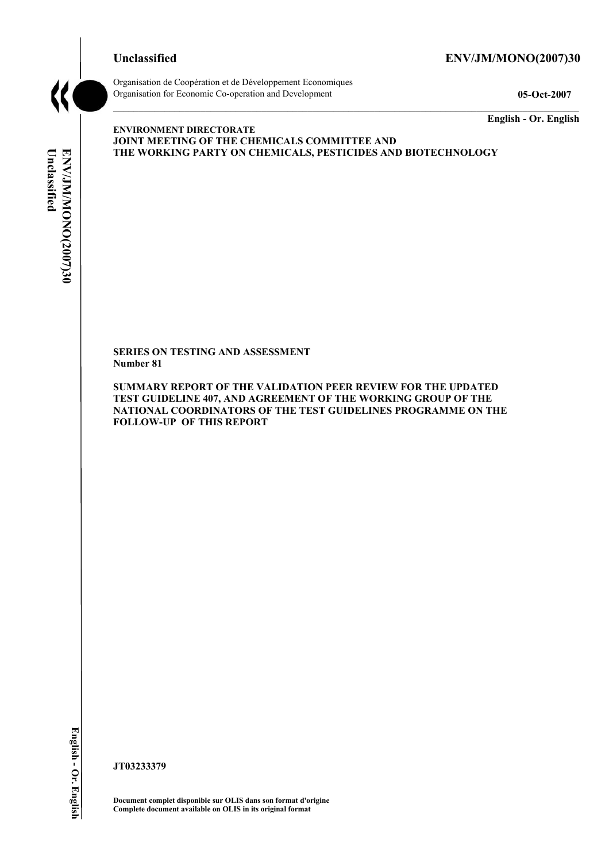#### **Unclassified ENV/JM/MONO(2007)30**



Organisation de Coopération et de Développement Economiques Organisation for Economic Co-operation and Development **05-Oct-2007** 

**English - Or. English** 

# Unclassified **Unclassified**  ENV/JM/MONO(2007)30 **ENV/JM/MONO(2007)30 English - Or. English**

**ENVIRONMENT DIRECTORATE JOINT MEETING OF THE CHEMICALS COMMITTEE AND THE WORKING PARTY ON CHEMICALS, PESTICIDES AND BIOTECHNOLOGY** 

**SERIES ON TESTING AND ASSESSMENT Number 81** 

**SUMMARY REPORT OF THE VALIDATION PEER REVIEW FOR THE UPDATED TEST GUIDELINE 407, AND AGREEMENT OF THE WORKING GROUP OF THE NATIONAL COORDINATORS OF THE TEST GUIDELINES PROGRAMME ON THE FOLLOW-UP OF THIS REPORT** 

**JT03233379** 

**Document complet disponible sur OLIS dans son format d'origine Complete document available on OLIS in its original format**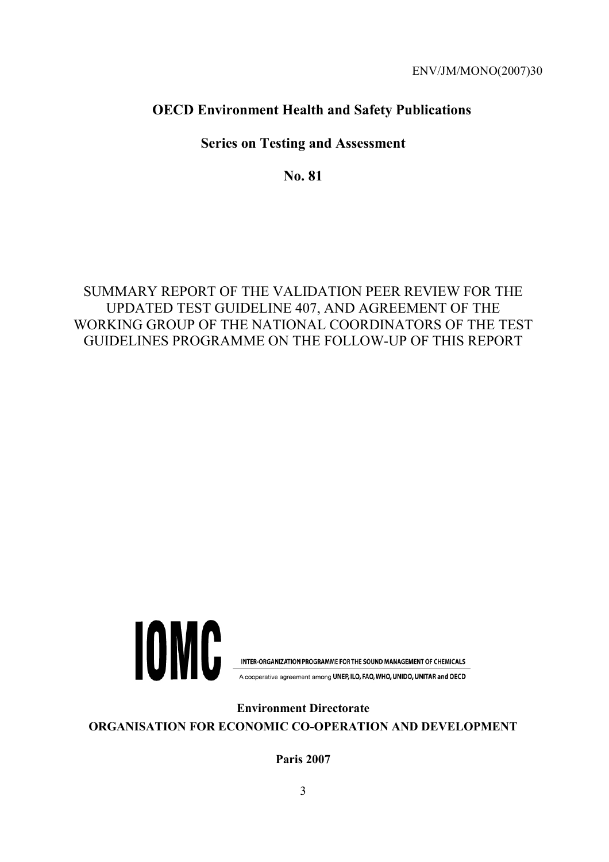# **OECD Environment Health and Safety Publications**

# **Series on Testing and Assessment**

**No. 81** 

# SUMMARY REPORT OF THE VALIDATION PEER REVIEW FOR THE UPDATED TEST GUIDELINE 407, AND AGREEMENT OF THE WORKING GROUP OF THE NATIONAL COORDINATORS OF THE TEST GUIDELINES PROGRAMME ON THE FOLLOW-UP OF THIS REPORT



INTER-ORGANIZATION PROGRAMME FOR THE SOUND MANAGEMENT OF CHEMICALS

A cooperative agreement among UNEP, ILO, FAO, WHO, UNIDO, UNITAR and OECD

**Environment Directorate ORGANISATION FOR ECONOMIC CO-OPERATION AND DEVELOPMENT** 

**Paris 2007**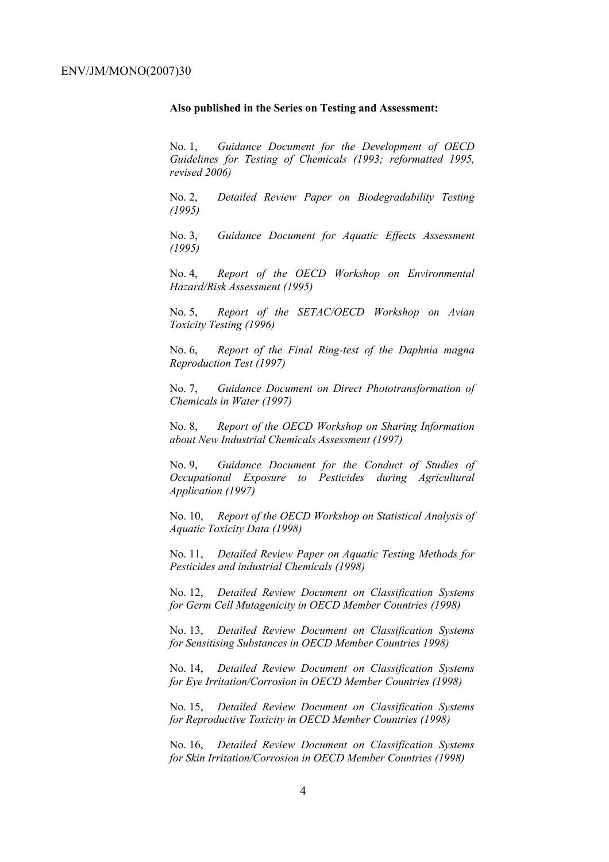#### **Also published in the Series on Testing and Assessment:**

No. 1, *Guidance Document for the Development of OECD Guidelines for Testing of Chemicals (1993; reformatted 1995, revised 2006)*

No. 2, *Detailed Review Paper on Biodegradability Testing (1995)*

No. 3, *Guidance Document for Aquatic Effects Assessment (1995)* 

No. 4, *Report of the OECD Workshop on Environmental Hazard/Risk Assessment (1995)*

No. 5, *Report of the SETAC/OECD Workshop on Avian Toxicity Testing (1996)*

No. 6, *Report of the Final Ring-test of the Daphnia magna Reproduction Test (1997)*

No. 7, *Guidance Document on Direct Phototransformation of Chemicals in Water (1997)* 

No. 8, *Report of the OECD Workshop on Sharing Information about New Industrial Chemicals Assessment (1997)*

No. 9, *Guidance Document for the Conduct of Studies of Occupational Exposure to Pesticides during Agricultural Application (1997)*

No. 10, *Report of the OECD Workshop on Statistical Analysis of Aquatic Toxicity Data (1998)*

No. 11, *Detailed Review Paper on Aquatic Testing Methods for Pesticides and industrial Chemicals (1998)*

No. 12, *Detailed Review Document on Classification Systems for Germ Cell Mutagenicity in OECD Member Countries (1998)*

No. 13, *Detailed Review Document on Classification Systems for Sensitising Substances in OECD Member Countries 1998)*

No. 14, *Detailed Review Document on Classification Systems for Eye Irritation/Corrosion in OECD Member Countries (1998)*

No. 15, *Detailed Review Document on Classification Systems for Reproductive Toxicity in OECD Member Countries (1998)*

No. 16, *Detailed Review Document on Classification Systems for Skin Irritation/Corrosion in OECD Member Countries (1998)*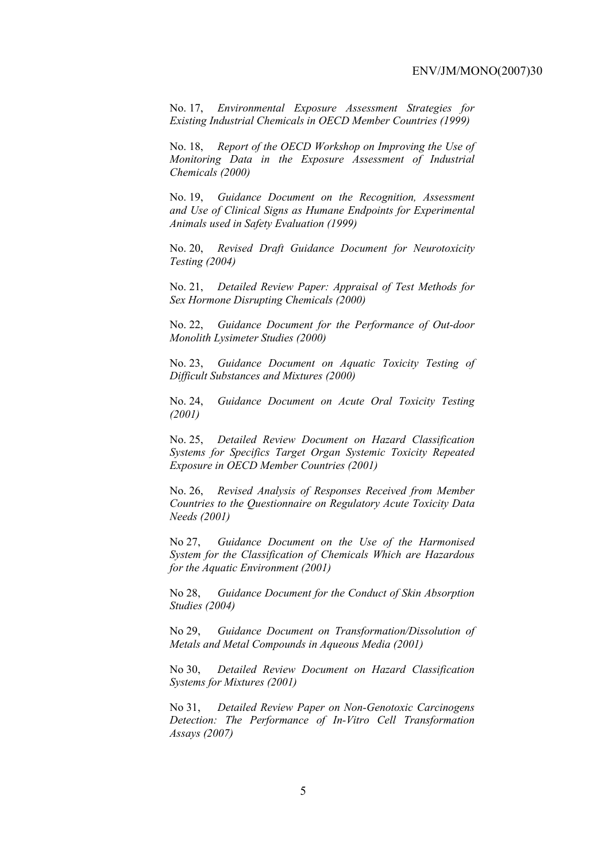No. 17, *Environmental Exposure Assessment Strategies for Existing Industrial Chemicals in OECD Member Countries (1999)*

No. 18, *Report of the OECD Workshop on Improving the Use of Monitoring Data in the Exposure Assessment of Industrial Chemicals (2000)*

No. 19, *Guidance Document on the Recognition, Assessment and Use of Clinical Signs as Humane Endpoints for Experimental Animals used in Safety Evaluation (1999)*

No. 20, *Revised Draft Guidance Document for Neurotoxicity Testing (2004)*

No. 21, *Detailed Review Paper: Appraisal of Test Methods for Sex Hormone Disrupting Chemicals (2000)*

No. 22, *Guidance Document for the Performance of Out-door Monolith Lysimeter Studies (2000)*

No. 23, *Guidance Document on Aquatic Toxicity Testing of Difficult Substances and Mixtures (2000)*

No. 24, *Guidance Document on Acute Oral Toxicity Testing (2001)*

No. 25, *Detailed Review Document on Hazard Classification Systems for Specifics Target Organ Systemic Toxicity Repeated Exposure in OECD Member Countries (2001)*

No. 26, *Revised Analysis of Responses Received from Member Countries to the Questionnaire on Regulatory Acute Toxicity Data Needs (2001)*

No 27, *Guidance Document on the Use of the Harmonised System for the Classification of Chemicals Which are Hazardous for the Aquatic Environment (2001)*

No 28, *Guidance Document for the Conduct of Skin Absorption Studies (2004)*

No 29, *Guidance Document on Transformation/Dissolution of Metals and Metal Compounds in Aqueous Media (2001)*

No 30, *Detailed Review Document on Hazard Classification Systems for Mixtures (2001)*

No 31, *Detailed Review Paper on Non-Genotoxic Carcinogens Detection: The Performance of In-Vitro Cell Transformation Assays (2007)*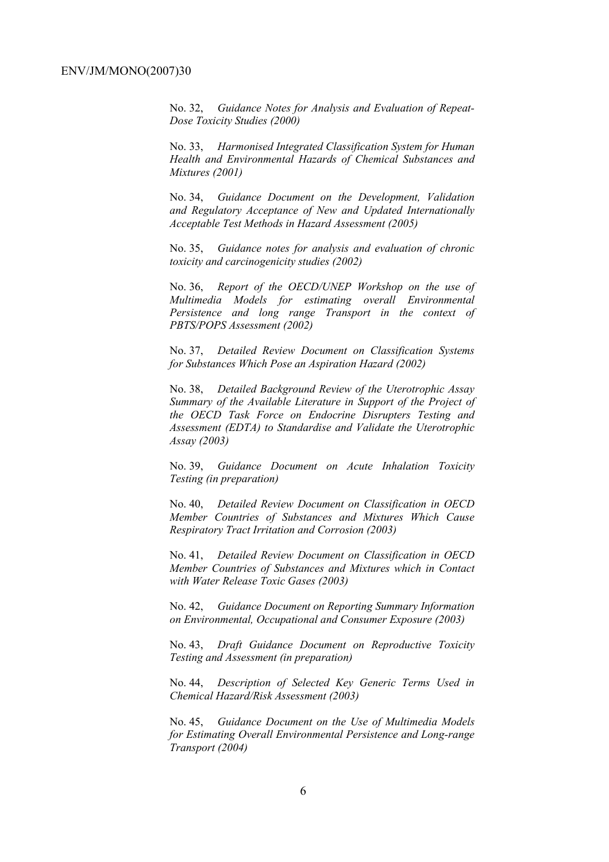No. 32, *Guidance Notes for Analysis and Evaluation of Repeat-Dose Toxicity Studies (2000)*

No. 33, *Harmonised Integrated Classification System for Human Health and Environmental Hazards of Chemical Substances and Mixtures (2001)*

No. 34, *Guidance Document on the Development, Validation and Regulatory Acceptance of New and Updated Internationally Acceptable Test Methods in Hazard Assessment (2005)*

No. 35, *Guidance notes for analysis and evaluation of chronic toxicity and carcinogenicity studies (2002)*

No. 36, *Report of the OECD/UNEP Workshop on the use of Multimedia Models for estimating overall Environmental Persistence and long range Transport in the context of PBTS/POPS Assessment (2002)*

No. 37, *Detailed Review Document on Classification Systems for Substances Which Pose an Aspiration Hazard (2002)*

No. 38, *Detailed Background Review of the Uterotrophic Assay Summary of the Available Literature in Support of the Project of the OECD Task Force on Endocrine Disrupters Testing and Assessment (EDTA) to Standardise and Validate the Uterotrophic Assay (2003)*

No. 39, *Guidance Document on Acute Inhalation Toxicity Testing (in preparation)*

No. 40, *Detailed Review Document on Classification in OECD Member Countries of Substances and Mixtures Which Cause Respiratory Tract Irritation and Corrosion (2003)*

No. 41, *Detailed Review Document on Classification in OECD Member Countries of Substances and Mixtures which in Contact with Water Release Toxic Gases (2003)*

No. 42, *Guidance Document on Reporting Summary Information on Environmental, Occupational and Consumer Exposure (2003)*

No. 43, *Draft Guidance Document on Reproductive Toxicity Testing and Assessment (in preparation)*

No. 44, *Description of Selected Key Generic Terms Used in Chemical Hazard/Risk Assessment (2003)* 

No. 45, *Guidance Document on the Use of Multimedia Models for Estimating Overall Environmental Persistence and Long-range Transport (2004)*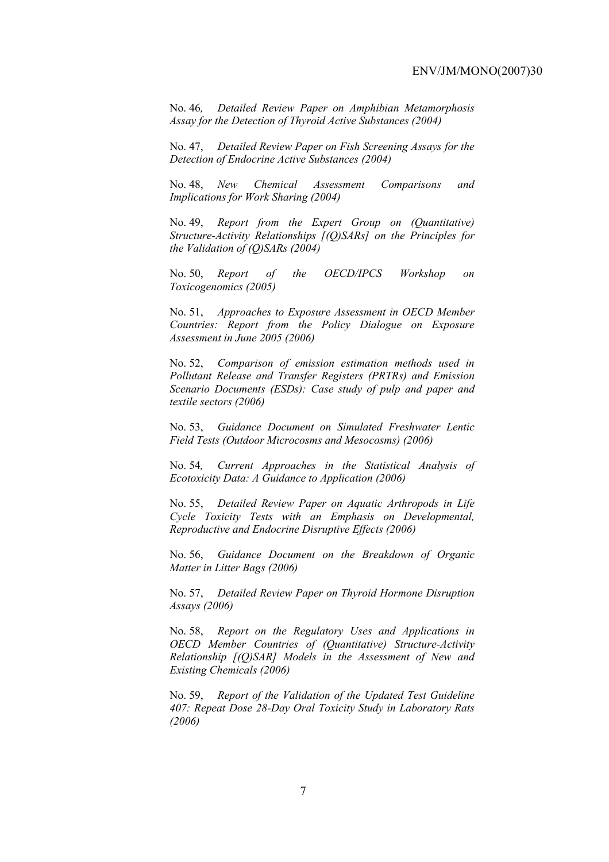No. 46*, Detailed Review Paper on Amphibian Metamorphosis Assay for the Detection of Thyroid Active Substances (2004)* 

No. 47, *Detailed Review Paper on Fish Screening Assays for the Detection of Endocrine Active Substances (2004)* 

No. 48, *New Chemical Assessment Comparisons and Implications for Work Sharing (2004)* 

No. 49, *Report from the Expert Group on (Quantitative) Structure-Activity Relationships [(Q)SARs] on the Principles for the Validation of (Q)SARs (2004)* 

No. 50, *Report of the OECD/IPCS Workshop on Toxicogenomics (2005)* 

No. 51, *Approaches to Exposure Assessment in OECD Member Countries: Report from the Policy Dialogue on Exposure Assessment in June 2005 (2006)* 

No. 52, *Comparison of emission estimation methods used in Pollutant Release and Transfer Registers (PRTRs) and Emission Scenario Documents (ESDs): Case study of pulp and paper and textile sectors (2006)* 

No. 53, *Guidance Document on Simulated Freshwater Lentic Field Tests (Outdoor Microcosms and Mesocosms) (2006)* 

No. 54*, Current Approaches in the Statistical Analysis of Ecotoxicity Data: A Guidance to Application (2006)* 

No. 55, *Detailed Review Paper on Aquatic Arthropods in Life Cycle Toxicity Tests with an Emphasis on Developmental, Reproductive and Endocrine Disruptive Effects (2006)* 

No. 56, *Guidance Document on the Breakdown of Organic Matter in Litter Bags (2006)* 

No. 57, *Detailed Review Paper on Thyroid Hormone Disruption Assays (2006)* 

No. 58, *Report on the Regulatory Uses and Applications in OECD Member Countries of (Quantitative) Structure-Activity Relationship [(Q)SAR] Models in the Assessment of New and Existing Chemicals (2006)* 

No. 59, *Report of the Validation of the Updated Test Guideline 407: Repeat Dose 28-Day Oral Toxicity Study in Laboratory Rats (2006)*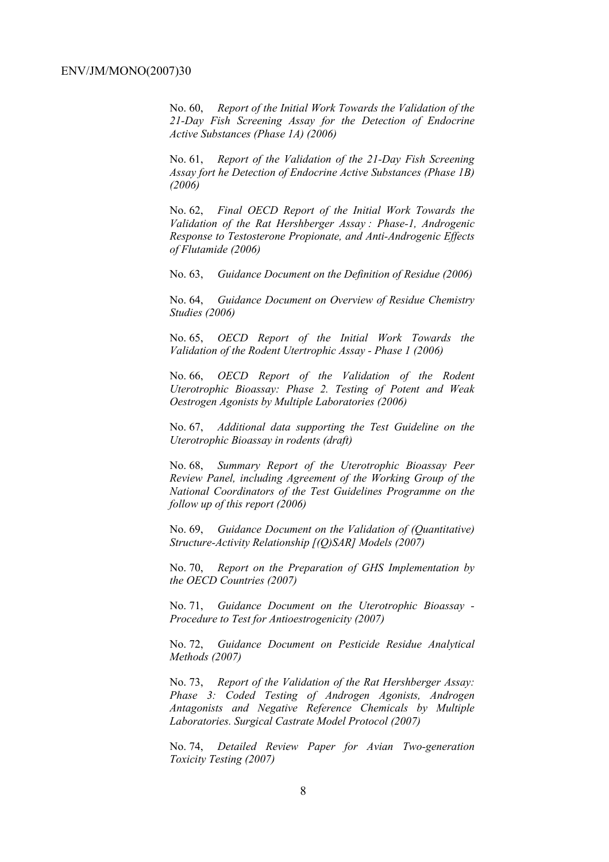No. 60, *Report of the Initial Work Towards the Validation of the 21-Day Fish Screening Assay for the Detection of Endocrine Active Substances (Phase 1A) (2006)* 

No. 61, *Report of the Validation of the 21-Day Fish Screening Assay fort he Detection of Endocrine Active Substances (Phase 1B) (2006)* 

No. 62, *Final OECD Report of the Initial Work Towards the Validation of the Rat Hershberger Assay : Phase-1, Androgenic Response to Testosterone Propionate, and Anti-Androgenic Effects of Flutamide (2006)* 

No. 63, *Guidance Document on the Definition of Residue (2006)* 

No. 64, *Guidance Document on Overview of Residue Chemistry Studies (2006)* 

No. 65, *OECD Report of the Initial Work Towards the Validation of the Rodent Utertrophic Assay - Phase 1 (2006)* 

No. 66, *OECD Report of the Validation of the Rodent Uterotrophic Bioassay: Phase 2. Testing of Potent and Weak Oestrogen Agonists by Multiple Laboratories (2006)* 

No. 67, *Additional data supporting the Test Guideline on the Uterotrophic Bioassay in rodents (draft)* 

No. 68, *Summary Report of the Uterotrophic Bioassay Peer Review Panel, including Agreement of the Working Group of the National Coordinators of the Test Guidelines Programme on the follow up of this report (2006)* 

No. 69, *Guidance Document on the Validation of (Quantitative) Structure-Activity Relationship [(Q)SAR] Models (2007)* 

No. 70, *Report on the Preparation of GHS Implementation by the OECD Countries (2007)*

No. 71, *Guidance Document on the Uterotrophic Bioassay - Procedure to Test for Antioestrogenicity (2007)*

No. 72, *Guidance Document on Pesticide Residue Analytical Methods (2007)* 

No. 73, *Report of the Validation of the Rat Hershberger Assay: Phase 3: Coded Testing of Androgen Agonists, Androgen Antagonists and Negative Reference Chemicals by Multiple Laboratories. Surgical Castrate Model Protocol (2007)* 

No. 74, *Detailed Review Paper for Avian Two-generation Toxicity Testing (2007)*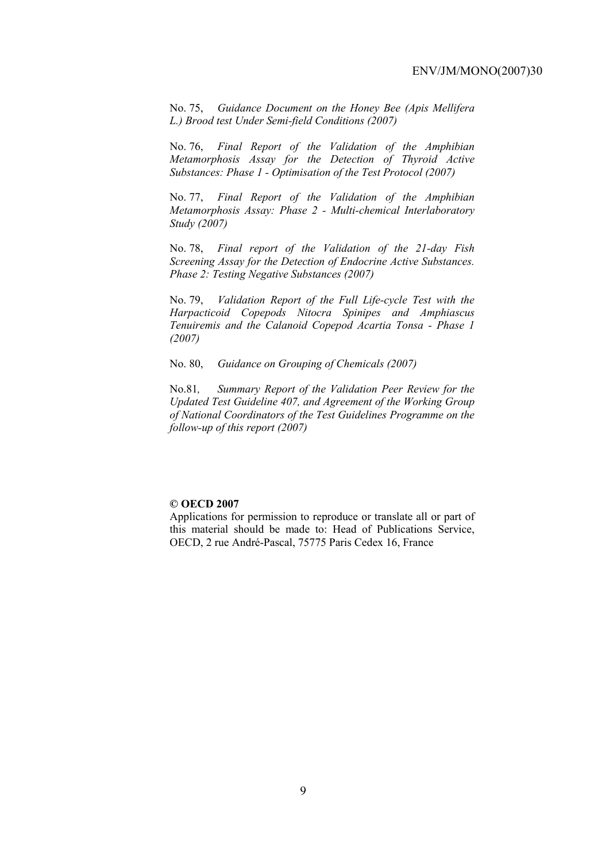No. 75, *Guidance Document on the Honey Bee (Apis Mellifera L.) Brood test Under Semi-field Conditions (2007)* 

No. 76, *Final Report of the Validation of the Amphibian Metamorphosis Assay for the Detection of Thyroid Active Substances: Phase 1 - Optimisation of the Test Protocol (2007)* 

No. 77, *Final Report of the Validation of the Amphibian Metamorphosis Assay: Phase 2 - Multi-chemical Interlaboratory Study (2007)* 

No. 78, *Final report of the Validation of the 21-day Fish Screening Assay for the Detection of Endocrine Active Substances. Phase 2: Testing Negative Substances (2007)* 

No. 79, *Validation Report of the Full Life-cycle Test with the Harpacticoid Copepods Nitocra Spinipes and Amphiascus Tenuiremis and the Calanoid Copepod Acartia Tonsa - Phase 1 (2007)* 

No. 80, *Guidance on Grouping of Chemicals (2007)* 

No.81*, Summary Report of the Validation Peer Review for the Updated Test Guideline 407, and Agreement of the Working Group of National Coordinators of the Test Guidelines Programme on the follow-up of this report (2007)* 

#### **© OECD 2007**

Applications for permission to reproduce or translate all or part of this material should be made to: Head of Publications Service, OECD, 2 rue André-Pascal, 75775 Paris Cedex 16, France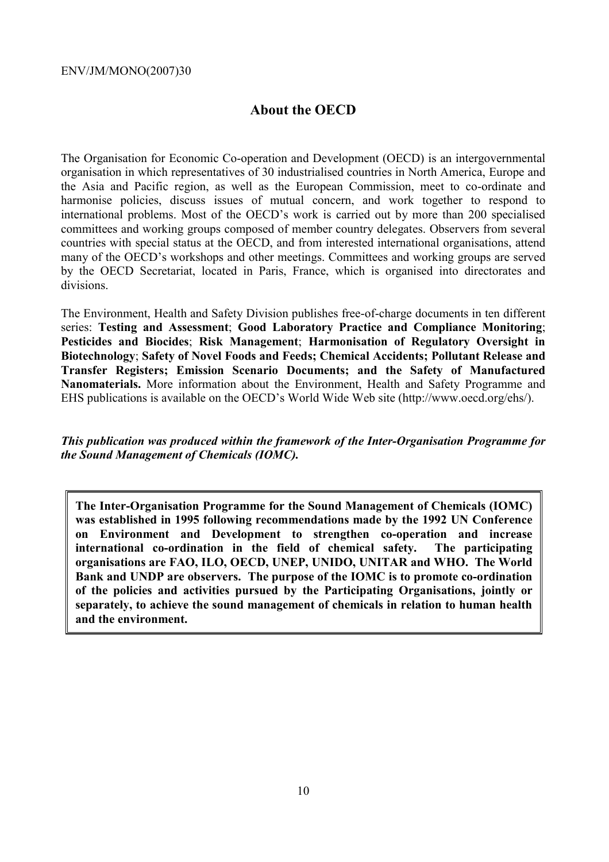# **About the OECD**

The Organisation for Economic Co-operation and Development (OECD) is an intergovernmental organisation in which representatives of 30 industrialised countries in North America, Europe and the Asia and Pacific region, as well as the European Commission, meet to co-ordinate and harmonise policies, discuss issues of mutual concern, and work together to respond to international problems. Most of the OECD's work is carried out by more than 200 specialised committees and working groups composed of member country delegates. Observers from several countries with special status at the OECD, and from interested international organisations, attend many of the OECD's workshops and other meetings. Committees and working groups are served by the OECD Secretariat, located in Paris, France, which is organised into directorates and divisions.

The Environment, Health and Safety Division publishes free-of-charge documents in ten different series: **Testing and Assessment**; **Good Laboratory Practice and Compliance Monitoring**; **Pesticides and Biocides**; **Risk Management**; **Harmonisation of Regulatory Oversight in Biotechnology**; **Safety of Novel Foods and Feeds; Chemical Accidents; Pollutant Release and Transfer Registers; Emission Scenario Documents; and the Safety of Manufactured Nanomaterials.** More information about the Environment, Health and Safety Programme and EHS publications is available on the OECD's World Wide Web site (http://www.oecd.org/ehs/).

*This publication was produced within the framework of the Inter-Organisation Programme for the Sound Management of Chemicals (IOMC).* 

**The Inter-Organisation Programme for the Sound Management of Chemicals (IOMC) was established in 1995 following recommendations made by the 1992 UN Conference on Environment and Development to strengthen co-operation and increase international co-ordination in the field of chemical safety. The participating organisations are FAO, ILO, OECD, UNEP, UNIDO, UNITAR and WHO. The World Bank and UNDP are observers. The purpose of the IOMC is to promote co-ordination of the policies and activities pursued by the Participating Organisations, jointly or separately, to achieve the sound management of chemicals in relation to human health and the environment.**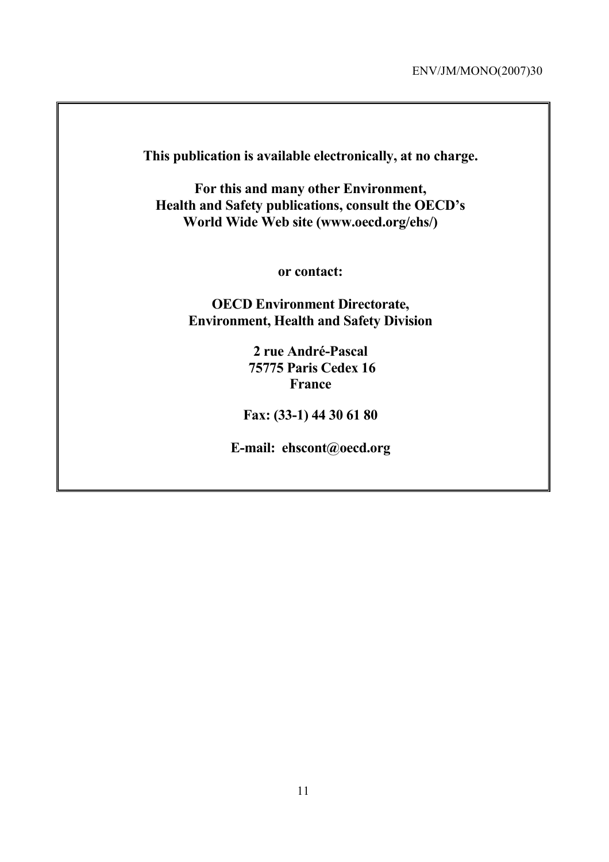**This publication is available electronically, at no charge.** 

**For this and many other Environment, Health and Safety publications, consult the OECD's World Wide Web site (www.oecd.org/ehs/)** 

**or contact:** 

**OECD Environment Directorate, Environment, Health and Safety Division**

> **2 rue André-Pascal 75775 Paris Cedex 16 France**

**Fax: (33-1) 44 30 61 80** 

**E-mail: ehscont@oecd.org**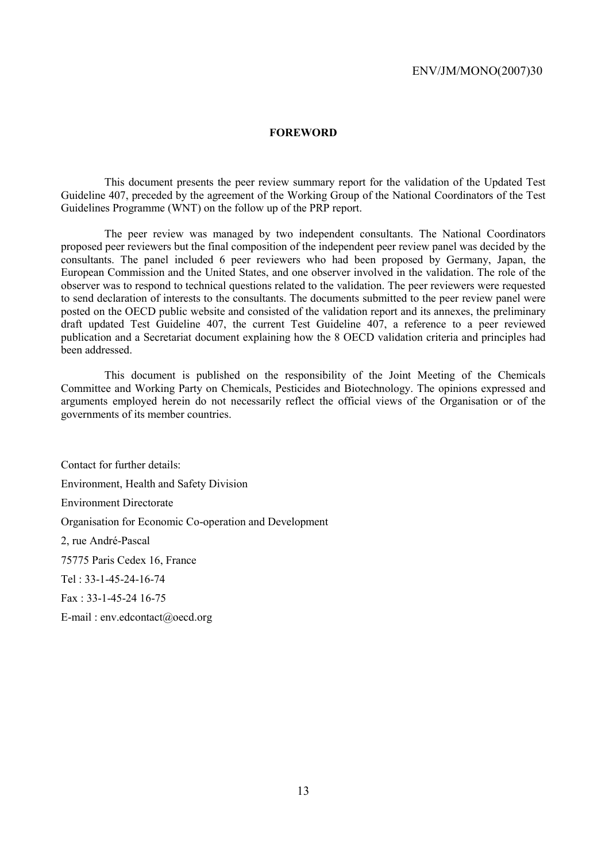#### **FOREWORD**

 This document presents the peer review summary report for the validation of the Updated Test Guideline 407, preceded by the agreement of the Working Group of the National Coordinators of the Test Guidelines Programme (WNT) on the follow up of the PRP report.

 The peer review was managed by two independent consultants. The National Coordinators proposed peer reviewers but the final composition of the independent peer review panel was decided by the consultants. The panel included 6 peer reviewers who had been proposed by Germany, Japan, the European Commission and the United States, and one observer involved in the validation. The role of the observer was to respond to technical questions related to the validation. The peer reviewers were requested to send declaration of interests to the consultants. The documents submitted to the peer review panel were posted on the OECD public website and consisted of the validation report and its annexes, the preliminary draft updated Test Guideline 407, the current Test Guideline 407, a reference to a peer reviewed publication and a Secretariat document explaining how the 8 OECD validation criteria and principles had been addressed.

 This document is published on the responsibility of the Joint Meeting of the Chemicals Committee and Working Party on Chemicals, Pesticides and Biotechnology. The opinions expressed and arguments employed herein do not necessarily reflect the official views of the Organisation or of the governments of its member countries.

Contact for further details: Environment, Health and Safety Division Environment Directorate Organisation for Economic Co-operation and Development 2, rue André-Pascal 75775 Paris Cedex 16, France Tel : 33-1-45-24-16-74 Fax : 33-1-45-24 16-75 E-mail : env.edcontact@oecd.org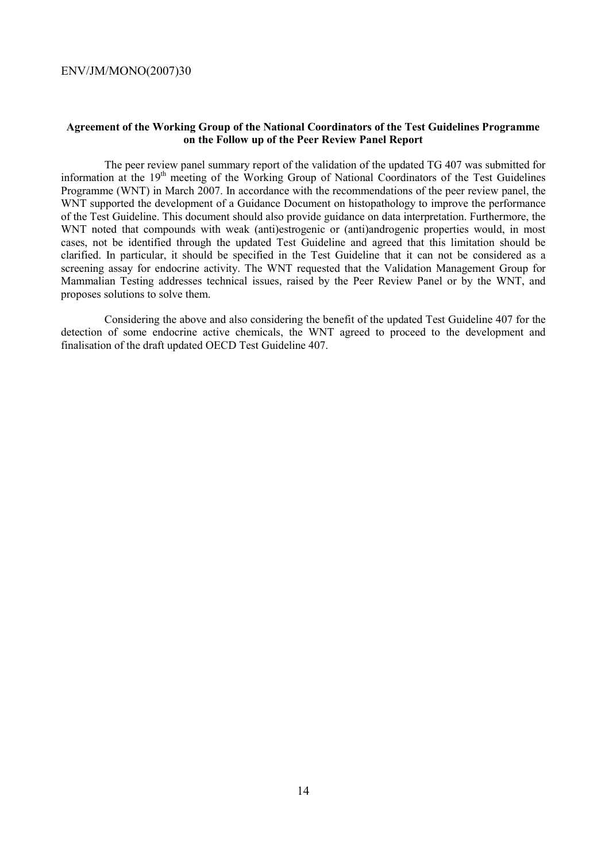#### **Agreement of the Working Group of the National Coordinators of the Test Guidelines Programme on the Follow up of the Peer Review Panel Report**

 The peer review panel summary report of the validation of the updated TG 407 was submitted for information at the 19<sup>th</sup> meeting of the Working Group of National Coordinators of the Test Guidelines Programme (WNT) in March 2007. In accordance with the recommendations of the peer review panel, the WNT supported the development of a Guidance Document on histopathology to improve the performance of the Test Guideline. This document should also provide guidance on data interpretation. Furthermore, the WNT noted that compounds with weak (anti)estrogenic or (anti)androgenic properties would, in most cases, not be identified through the updated Test Guideline and agreed that this limitation should be clarified. In particular, it should be specified in the Test Guideline that it can not be considered as a screening assay for endocrine activity. The WNT requested that the Validation Management Group for Mammalian Testing addresses technical issues, raised by the Peer Review Panel or by the WNT, and proposes solutions to solve them.

 Considering the above and also considering the benefit of the updated Test Guideline 407 for the detection of some endocrine active chemicals, the WNT agreed to proceed to the development and finalisation of the draft updated OECD Test Guideline 407.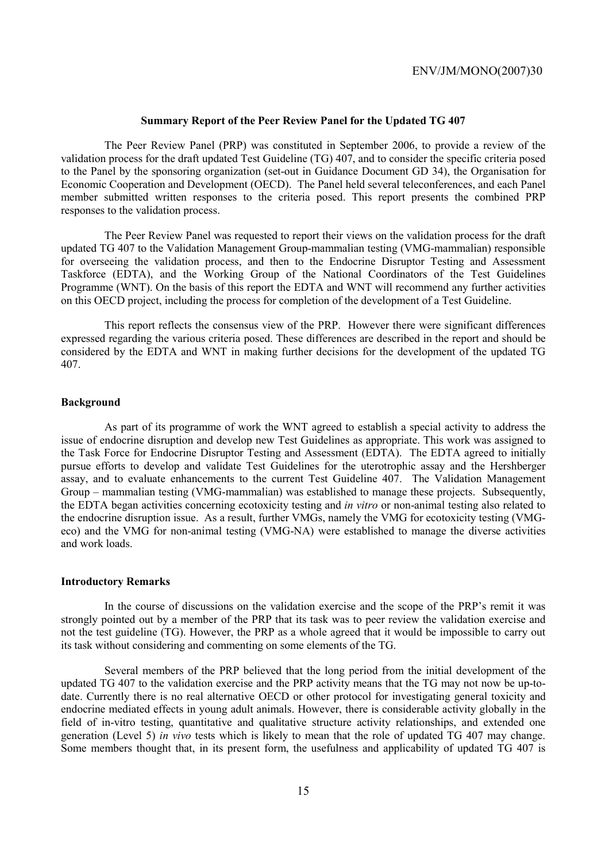#### **Summary Report of the Peer Review Panel for the Updated TG 407**

 The Peer Review Panel (PRP) was constituted in September 2006, to provide a review of the validation process for the draft updated Test Guideline (TG) 407, and to consider the specific criteria posed to the Panel by the sponsoring organization (set-out in Guidance Document GD 34), the Organisation for Economic Cooperation and Development (OECD). The Panel held several teleconferences, and each Panel member submitted written responses to the criteria posed. This report presents the combined PRP responses to the validation process.

 The Peer Review Panel was requested to report their views on the validation process for the draft updated TG 407 to the Validation Management Group-mammalian testing (VMG-mammalian) responsible for overseeing the validation process, and then to the Endocrine Disruptor Testing and Assessment Taskforce (EDTA), and the Working Group of the National Coordinators of the Test Guidelines Programme (WNT). On the basis of this report the EDTA and WNT will recommend any further activities on this OECD project, including the process for completion of the development of a Test Guideline.

 This report reflects the consensus view of the PRP. However there were significant differences expressed regarding the various criteria posed. These differences are described in the report and should be considered by the EDTA and WNT in making further decisions for the development of the updated TG 407.

#### **Background**

 As part of its programme of work the WNT agreed to establish a special activity to address the issue of endocrine disruption and develop new Test Guidelines as appropriate. This work was assigned to the Task Force for Endocrine Disruptor Testing and Assessment (EDTA). The EDTA agreed to initially pursue efforts to develop and validate Test Guidelines for the uterotrophic assay and the Hershberger assay, and to evaluate enhancements to the current Test Guideline 407. The Validation Management Group – mammalian testing (VMG-mammalian) was established to manage these projects. Subsequently, the EDTA began activities concerning ecotoxicity testing and *in vitro* or non-animal testing also related to the endocrine disruption issue. As a result, further VMGs, namely the VMG for ecotoxicity testing (VMGeco) and the VMG for non-animal testing (VMG-NA) were established to manage the diverse activities and work loads.

#### **Introductory Remarks**

 In the course of discussions on the validation exercise and the scope of the PRP's remit it was strongly pointed out by a member of the PRP that its task was to peer review the validation exercise and not the test guideline (TG). However, the PRP as a whole agreed that it would be impossible to carry out its task without considering and commenting on some elements of the TG.

 Several members of the PRP believed that the long period from the initial development of the updated TG 407 to the validation exercise and the PRP activity means that the TG may not now be up-todate. Currently there is no real alternative OECD or other protocol for investigating general toxicity and endocrine mediated effects in young adult animals. However, there is considerable activity globally in the field of in-vitro testing, quantitative and qualitative structure activity relationships, and extended one generation (Level 5) *in vivo* tests which is likely to mean that the role of updated TG 407 may change. Some members thought that, in its present form, the usefulness and applicability of updated TG 407 is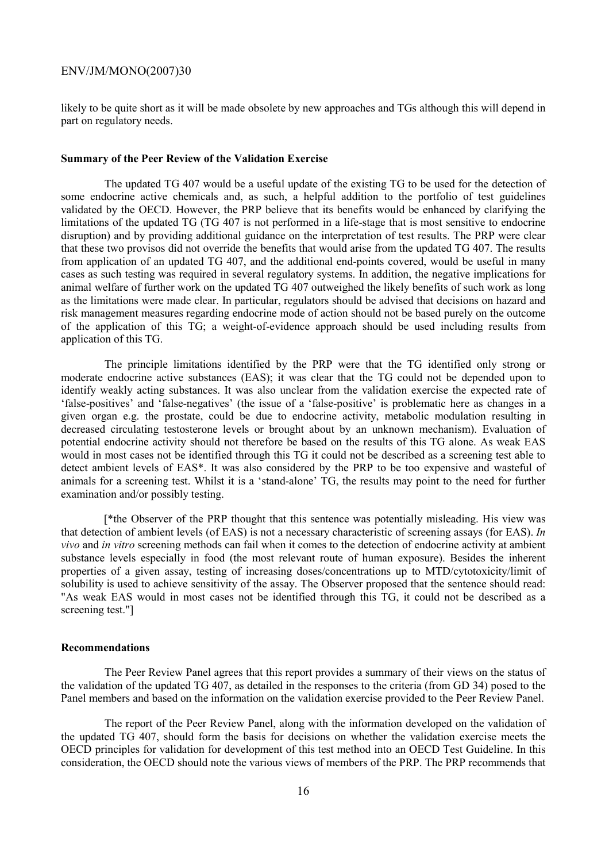likely to be quite short as it will be made obsolete by new approaches and TGs although this will depend in part on regulatory needs.

#### **Summary of the Peer Review of the Validation Exercise**

 The updated TG 407 would be a useful update of the existing TG to be used for the detection of some endocrine active chemicals and, as such, a helpful addition to the portfolio of test guidelines validated by the OECD. However, the PRP believe that its benefits would be enhanced by clarifying the limitations of the updated TG (TG 407 is not performed in a life-stage that is most sensitive to endocrine disruption) and by providing additional guidance on the interpretation of test results. The PRP were clear that these two provisos did not override the benefits that would arise from the updated TG 407. The results from application of an updated TG 407, and the additional end-points covered, would be useful in many cases as such testing was required in several regulatory systems. In addition, the negative implications for animal welfare of further work on the updated TG 407 outweighed the likely benefits of such work as long as the limitations were made clear. In particular, regulators should be advised that decisions on hazard and risk management measures regarding endocrine mode of action should not be based purely on the outcome of the application of this TG; a weight-of-evidence approach should be used including results from application of this TG.

 The principle limitations identified by the PRP were that the TG identified only strong or moderate endocrine active substances (EAS); it was clear that the TG could not be depended upon to identify weakly acting substances. It was also unclear from the validation exercise the expected rate of 'false-positives' and 'false-negatives' (the issue of a 'false-positive' is problematic here as changes in a given organ e.g. the prostate, could be due to endocrine activity, metabolic modulation resulting in decreased circulating testosterone levels or brought about by an unknown mechanism). Evaluation of potential endocrine activity should not therefore be based on the results of this TG alone. As weak EAS would in most cases not be identified through this TG it could not be described as a screening test able to detect ambient levels of EAS\*. It was also considered by the PRP to be too expensive and wasteful of animals for a screening test. Whilst it is a 'stand-alone' TG, the results may point to the need for further examination and/or possibly testing.

 [\*the Observer of the PRP thought that this sentence was potentially misleading. His view was that detection of ambient levels (of EAS) is not a necessary characteristic of screening assays (for EAS). *In vivo* and *in vitro* screening methods can fail when it comes to the detection of endocrine activity at ambient substance levels especially in food (the most relevant route of human exposure). Besides the inherent properties of a given assay, testing of increasing doses/concentrations up to MTD/cytotoxicity/limit of solubility is used to achieve sensitivity of the assay. The Observer proposed that the sentence should read: "As weak EAS would in most cases not be identified through this TG, it could not be described as a screening test."]

#### **Recommendations**

 The Peer Review Panel agrees that this report provides a summary of their views on the status of the validation of the updated TG 407, as detailed in the responses to the criteria (from GD 34) posed to the Panel members and based on the information on the validation exercise provided to the Peer Review Panel.

 The report of the Peer Review Panel, along with the information developed on the validation of the updated TG 407, should form the basis for decisions on whether the validation exercise meets the OECD principles for validation for development of this test method into an OECD Test Guideline. In this consideration, the OECD should note the various views of members of the PRP. The PRP recommends that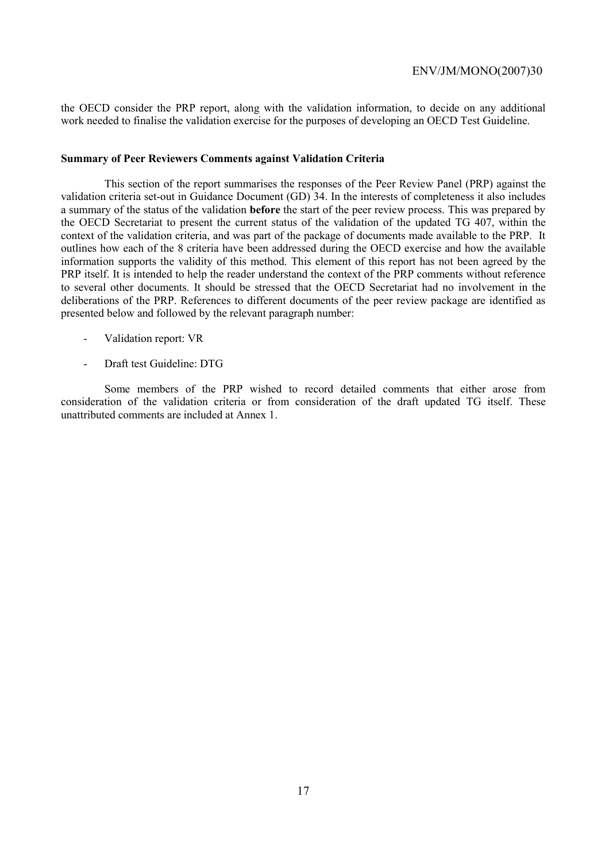the OECD consider the PRP report, along with the validation information, to decide on any additional work needed to finalise the validation exercise for the purposes of developing an OECD Test Guideline.

#### **Summary of Peer Reviewers Comments against Validation Criteria**

 This section of the report summarises the responses of the Peer Review Panel (PRP) against the validation criteria set-out in Guidance Document (GD) 34. In the interests of completeness it also includes a summary of the status of the validation **before** the start of the peer review process. This was prepared by the OECD Secretariat to present the current status of the validation of the updated TG 407, within the context of the validation criteria, and was part of the package of documents made available to the PRP. It outlines how each of the 8 criteria have been addressed during the OECD exercise and how the available information supports the validity of this method. This element of this report has not been agreed by the PRP itself. It is intended to help the reader understand the context of the PRP comments without reference to several other documents. It should be stressed that the OECD Secretariat had no involvement in the deliberations of the PRP. References to different documents of the peer review package are identified as presented below and followed by the relevant paragraph number:

- Validation report: VR
- Draft test Guideline: DTG

 Some members of the PRP wished to record detailed comments that either arose from consideration of the validation criteria or from consideration of the draft updated TG itself. These unattributed comments are included at Annex 1.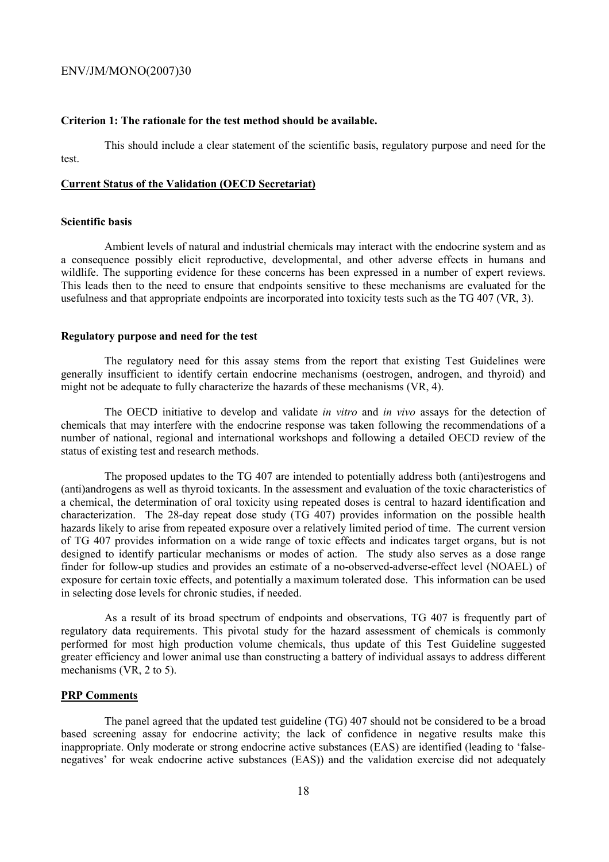#### **Criterion 1: The rationale for the test method should be available.**

 This should include a clear statement of the scientific basis, regulatory purpose and need for the test.

#### **Current Status of the Validation (OECD Secretariat)**

#### **Scientific basis**

 Ambient levels of natural and industrial chemicals may interact with the endocrine system and as a consequence possibly elicit reproductive, developmental, and other adverse effects in humans and wildlife. The supporting evidence for these concerns has been expressed in a number of expert reviews. This leads then to the need to ensure that endpoints sensitive to these mechanisms are evaluated for the usefulness and that appropriate endpoints are incorporated into toxicity tests such as the TG 407 (VR, 3).

#### **Regulatory purpose and need for the test**

 The regulatory need for this assay stems from the report that existing Test Guidelines were generally insufficient to identify certain endocrine mechanisms (oestrogen, androgen, and thyroid) and might not be adequate to fully characterize the hazards of these mechanisms (VR, 4).

 The OECD initiative to develop and validate *in vitro* and *in vivo* assays for the detection of chemicals that may interfere with the endocrine response was taken following the recommendations of a number of national, regional and international workshops and following a detailed OECD review of the status of existing test and research methods.

 The proposed updates to the TG 407 are intended to potentially address both (anti)estrogens and (anti)androgens as well as thyroid toxicants. In the assessment and evaluation of the toxic characteristics of a chemical, the determination of oral toxicity using repeated doses is central to hazard identification and characterization. The 28-day repeat dose study (TG 407) provides information on the possible health hazards likely to arise from repeated exposure over a relatively limited period of time. The current version of TG 407 provides information on a wide range of toxic effects and indicates target organs, but is not designed to identify particular mechanisms or modes of action. The study also serves as a dose range finder for follow-up studies and provides an estimate of a no-observed-adverse-effect level (NOAEL) of exposure for certain toxic effects, and potentially a maximum tolerated dose. This information can be used in selecting dose levels for chronic studies, if needed.

 As a result of its broad spectrum of endpoints and observations, TG 407 is frequently part of regulatory data requirements. This pivotal study for the hazard assessment of chemicals is commonly performed for most high production volume chemicals, thus update of this Test Guideline suggested greater efficiency and lower animal use than constructing a battery of individual assays to address different mechanisms (VR, 2 to 5).

#### **PRP Comments**

 The panel agreed that the updated test guideline (TG) 407 should not be considered to be a broad based screening assay for endocrine activity; the lack of confidence in negative results make this inappropriate. Only moderate or strong endocrine active substances (EAS) are identified (leading to 'falsenegatives' for weak endocrine active substances (EAS)) and the validation exercise did not adequately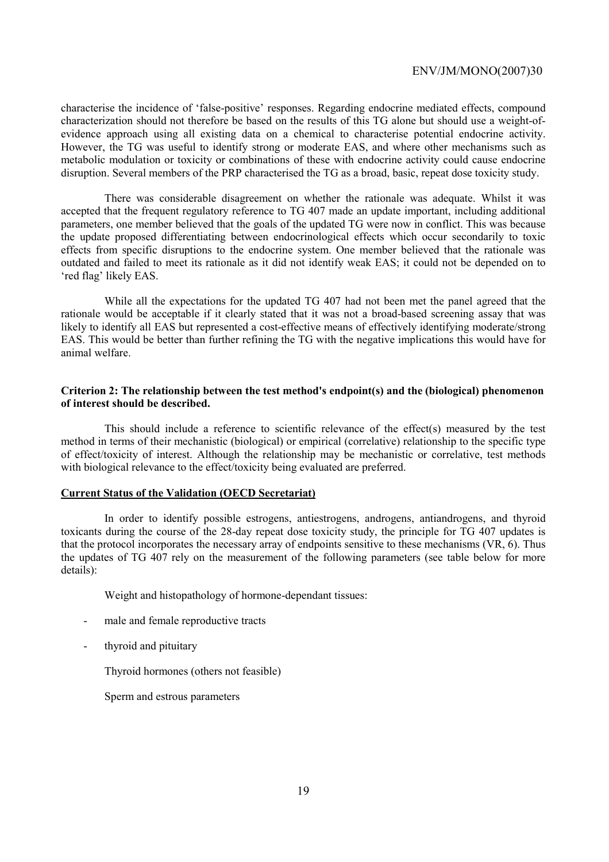characterise the incidence of 'false-positive' responses. Regarding endocrine mediated effects, compound characterization should not therefore be based on the results of this TG alone but should use a weight-ofevidence approach using all existing data on a chemical to characterise potential endocrine activity. However, the TG was useful to identify strong or moderate EAS, and where other mechanisms such as metabolic modulation or toxicity or combinations of these with endocrine activity could cause endocrine disruption. Several members of the PRP characterised the TG as a broad, basic, repeat dose toxicity study.

 There was considerable disagreement on whether the rationale was adequate. Whilst it was accepted that the frequent regulatory reference to TG 407 made an update important, including additional parameters, one member believed that the goals of the updated TG were now in conflict. This was because the update proposed differentiating between endocrinological effects which occur secondarily to toxic effects from specific disruptions to the endocrine system. One member believed that the rationale was outdated and failed to meet its rationale as it did not identify weak EAS; it could not be depended on to 'red flag' likely EAS.

 While all the expectations for the updated TG 407 had not been met the panel agreed that the rationale would be acceptable if it clearly stated that it was not a broad-based screening assay that was likely to identify all EAS but represented a cost-effective means of effectively identifying moderate/strong EAS. This would be better than further refining the TG with the negative implications this would have for animal welfare.

#### **Criterion 2: The relationship between the test method's endpoint(s) and the (biological) phenomenon of interest should be described.**

 This should include a reference to scientific relevance of the effect(s) measured by the test method in terms of their mechanistic (biological) or empirical (correlative) relationship to the specific type of effect/toxicity of interest. Although the relationship may be mechanistic or correlative, test methods with biological relevance to the effect/toxicity being evaluated are preferred.

#### **Current Status of the Validation (OECD Secretariat)**

 In order to identify possible estrogens, antiestrogens, androgens, antiandrogens, and thyroid toxicants during the course of the 28-day repeat dose toxicity study, the principle for TG 407 updates is that the protocol incorporates the necessary array of endpoints sensitive to these mechanisms (VR, 6). Thus the updates of TG 407 rely on the measurement of the following parameters (see table below for more details):

Weight and histopathology of hormone-dependant tissues:

- male and female reproductive tracts
- thyroid and pituitary

Thyroid hormones (others not feasible)

Sperm and estrous parameters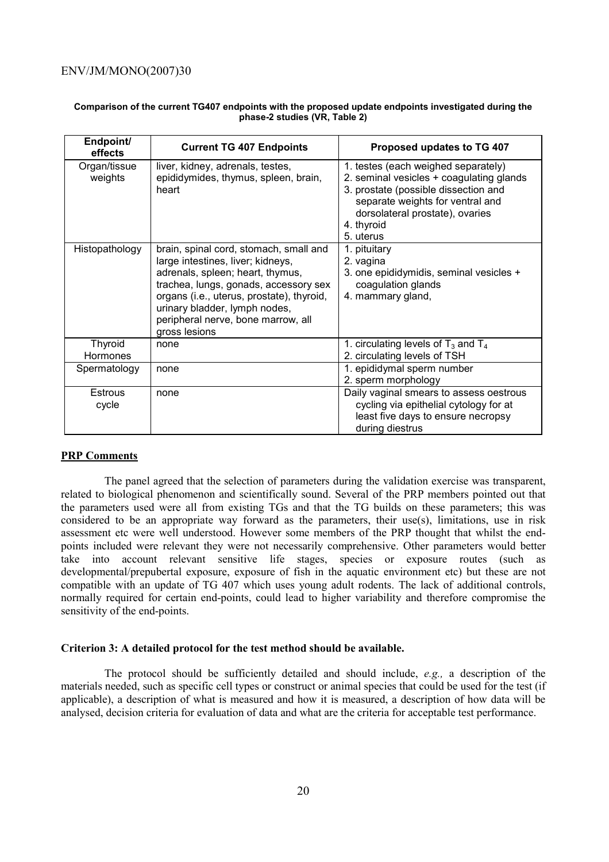| Endpoint/<br>effects              | <b>Current TG 407 Endpoints</b>                                                                                                                                                                                                                                                               | Proposed updates to TG 407                                                                                                                                                                                                |
|-----------------------------------|-----------------------------------------------------------------------------------------------------------------------------------------------------------------------------------------------------------------------------------------------------------------------------------------------|---------------------------------------------------------------------------------------------------------------------------------------------------------------------------------------------------------------------------|
| Organ/tissue<br>weights           | liver, kidney, adrenals, testes,<br>epididymides, thymus, spleen, brain,<br>heart                                                                                                                                                                                                             | 1. testes (each weighed separately)<br>2. seminal vesicles + coagulating glands<br>3. prostate (possible dissection and<br>separate weights for ventral and<br>dorsolateral prostate), ovaries<br>4. thyroid<br>5. uterus |
| Histopathology                    | brain, spinal cord, stomach, small and<br>large intestines, liver; kidneys,<br>adrenals, spleen; heart, thymus,<br>trachea, lungs, gonads, accessory sex<br>organs (i.e., uterus, prostate), thyroid,<br>urinary bladder, lymph nodes,<br>peripheral nerve, bone marrow, all<br>gross lesions | 1. pituitary<br>2. vagina<br>3. one epididymidis, seminal vesicles +<br>coagulation glands<br>4. mammary gland,                                                                                                           |
| <b>Thyroid</b><br><b>Hormones</b> | none                                                                                                                                                                                                                                                                                          | 1. circulating levels of $T_3$ and $T_4$<br>2. circulating levels of TSH                                                                                                                                                  |
| Spermatology                      | none                                                                                                                                                                                                                                                                                          | 1. epididymal sperm number<br>2. sperm morphology                                                                                                                                                                         |
| <b>Estrous</b><br>cycle           | none                                                                                                                                                                                                                                                                                          | Daily vaginal smears to assess oestrous<br>cycling via epithelial cytology for at<br>least five days to ensure necropsy<br>during diestrus                                                                                |

#### **Comparison of the current TG407 endpoints with the proposed update endpoints investigated during the phase-2 studies (VR, Table 2)**

### **PRP Comments**

 The panel agreed that the selection of parameters during the validation exercise was transparent, related to biological phenomenon and scientifically sound. Several of the PRP members pointed out that the parameters used were all from existing TGs and that the TG builds on these parameters; this was considered to be an appropriate way forward as the parameters, their use(s), limitations, use in risk assessment etc were well understood. However some members of the PRP thought that whilst the endpoints included were relevant they were not necessarily comprehensive. Other parameters would better take into account relevant sensitive life stages, species or exposure routes (such as developmental/prepubertal exposure, exposure of fish in the aquatic environment etc) but these are not compatible with an update of TG 407 which uses young adult rodents. The lack of additional controls, normally required for certain end-points, could lead to higher variability and therefore compromise the sensitivity of the end-points.

#### **Criterion 3: A detailed protocol for the test method should be available.**

 The protocol should be sufficiently detailed and should include, *e.g.,* a description of the materials needed, such as specific cell types or construct or animal species that could be used for the test (if applicable), a description of what is measured and how it is measured, a description of how data will be analysed, decision criteria for evaluation of data and what are the criteria for acceptable test performance.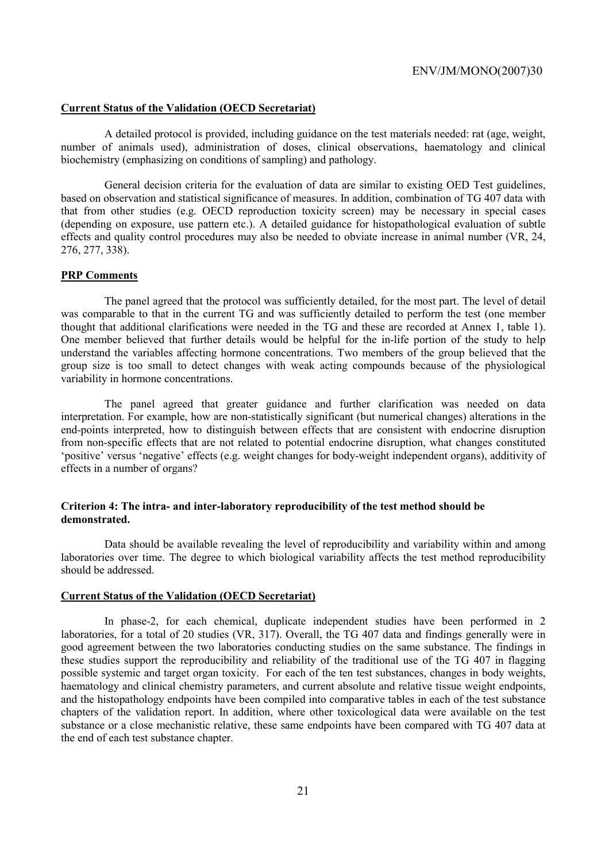#### **Current Status of the Validation (OECD Secretariat)**

 A detailed protocol is provided, including guidance on the test materials needed: rat (age, weight, number of animals used), administration of doses, clinical observations, haematology and clinical biochemistry (emphasizing on conditions of sampling) and pathology.

 General decision criteria for the evaluation of data are similar to existing OED Test guidelines, based on observation and statistical significance of measures. In addition, combination of TG 407 data with that from other studies (e.g. OECD reproduction toxicity screen) may be necessary in special cases (depending on exposure, use pattern etc.). A detailed guidance for histopathological evaluation of subtle effects and quality control procedures may also be needed to obviate increase in animal number (VR, 24, 276, 277, 338).

#### **PRP Comments**

 The panel agreed that the protocol was sufficiently detailed, for the most part. The level of detail was comparable to that in the current TG and was sufficiently detailed to perform the test (one member thought that additional clarifications were needed in the TG and these are recorded at Annex 1, table 1). One member believed that further details would be helpful for the in-life portion of the study to help understand the variables affecting hormone concentrations. Two members of the group believed that the group size is too small to detect changes with weak acting compounds because of the physiological variability in hormone concentrations.

 The panel agreed that greater guidance and further clarification was needed on data interpretation. For example, how are non-statistically significant (but numerical changes) alterations in the end-points interpreted, how to distinguish between effects that are consistent with endocrine disruption from non-specific effects that are not related to potential endocrine disruption, what changes constituted 'positive' versus 'negative' effects (e.g. weight changes for body-weight independent organs), additivity of effects in a number of organs?

#### **Criterion 4: The intra- and inter-laboratory reproducibility of the test method should be demonstrated.**

 Data should be available revealing the level of reproducibility and variability within and among laboratories over time. The degree to which biological variability affects the test method reproducibility should be addressed.

#### **Current Status of the Validation (OECD Secretariat)**

 In phase-2, for each chemical, duplicate independent studies have been performed in 2 laboratories, for a total of 20 studies (VR, 317). Overall, the TG 407 data and findings generally were in good agreement between the two laboratories conducting studies on the same substance. The findings in these studies support the reproducibility and reliability of the traditional use of the TG 407 in flagging possible systemic and target organ toxicity. For each of the ten test substances, changes in body weights, haematology and clinical chemistry parameters, and current absolute and relative tissue weight endpoints, and the histopathology endpoints have been compiled into comparative tables in each of the test substance chapters of the validation report. In addition, where other toxicological data were available on the test substance or a close mechanistic relative, these same endpoints have been compared with TG 407 data at the end of each test substance chapter.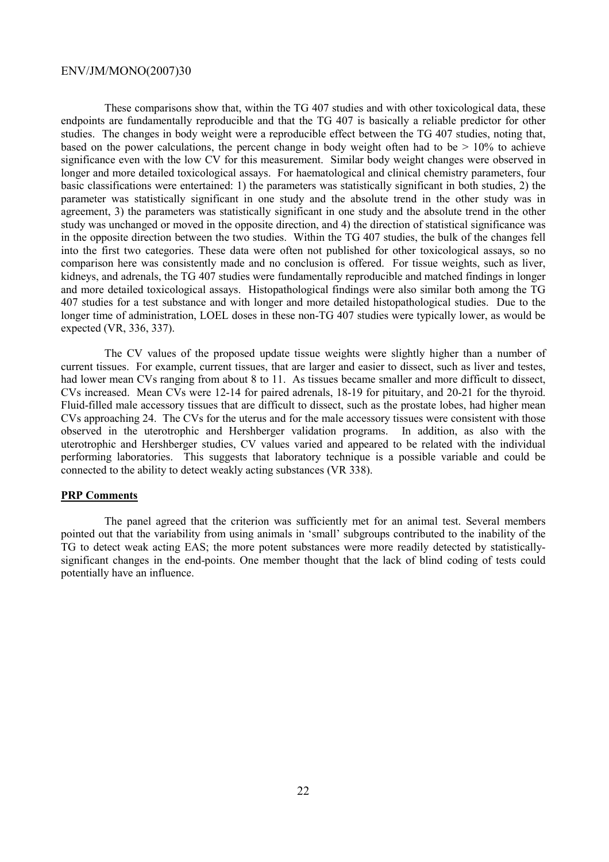These comparisons show that, within the TG 407 studies and with other toxicological data, these endpoints are fundamentally reproducible and that the TG 407 is basically a reliable predictor for other studies. The changes in body weight were a reproducible effect between the TG 407 studies, noting that, based on the power calculations, the percent change in body weight often had to be  $> 10\%$  to achieve significance even with the low CV for this measurement. Similar body weight changes were observed in longer and more detailed toxicological assays. For haematological and clinical chemistry parameters, four basic classifications were entertained: 1) the parameters was statistically significant in both studies, 2) the parameter was statistically significant in one study and the absolute trend in the other study was in agreement, 3) the parameters was statistically significant in one study and the absolute trend in the other study was unchanged or moved in the opposite direction, and 4) the direction of statistical significance was in the opposite direction between the two studies. Within the TG 407 studies, the bulk of the changes fell into the first two categories. These data were often not published for other toxicological assays, so no comparison here was consistently made and no conclusion is offered. For tissue weights, such as liver, kidneys, and adrenals, the TG 407 studies were fundamentally reproducible and matched findings in longer and more detailed toxicological assays. Histopathological findings were also similar both among the TG 407 studies for a test substance and with longer and more detailed histopathological studies. Due to the longer time of administration, LOEL doses in these non-TG 407 studies were typically lower, as would be expected (VR, 336, 337).

 The CV values of the proposed update tissue weights were slightly higher than a number of current tissues. For example, current tissues, that are larger and easier to dissect, such as liver and testes, had lower mean CVs ranging from about 8 to 11. As tissues became smaller and more difficult to dissect, CVs increased. Mean CVs were 12-14 for paired adrenals, 18-19 for pituitary, and 20-21 for the thyroid. Fluid-filled male accessory tissues that are difficult to dissect, such as the prostate lobes, had higher mean CVs approaching 24. The CVs for the uterus and for the male accessory tissues were consistent with those observed in the uterotrophic and Hershberger validation programs. In addition, as also with the uterotrophic and Hershberger studies, CV values varied and appeared to be related with the individual performing laboratories. This suggests that laboratory technique is a possible variable and could be connected to the ability to detect weakly acting substances (VR 338).

#### **PRP Comments**

 The panel agreed that the criterion was sufficiently met for an animal test. Several members pointed out that the variability from using animals in 'small' subgroups contributed to the inability of the TG to detect weak acting EAS; the more potent substances were more readily detected by statisticallysignificant changes in the end-points. One member thought that the lack of blind coding of tests could potentially have an influence.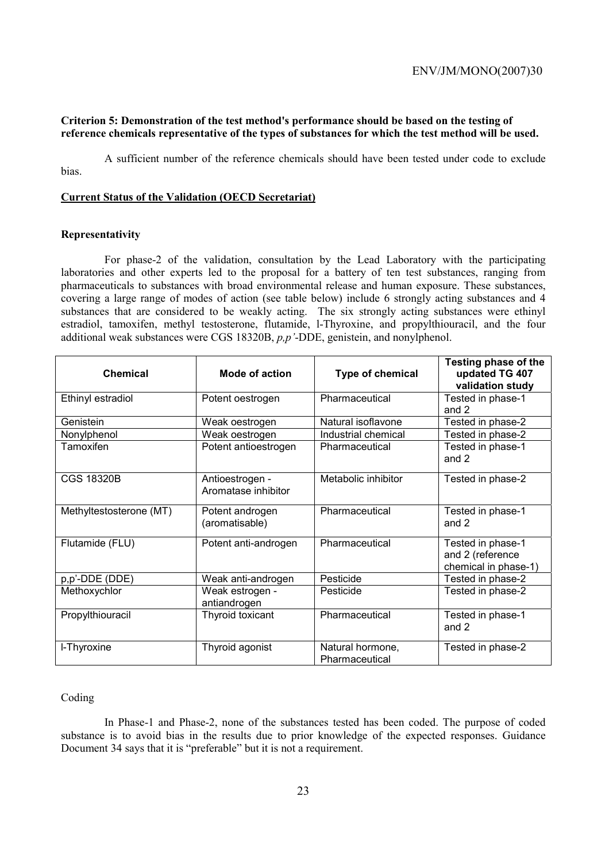#### **Criterion 5: Demonstration of the test method's performance should be based on the testing of reference chemicals representative of the types of substances for which the test method will be used.**

 A sufficient number of the reference chemicals should have been tested under code to exclude bias.

#### **Current Status of the Validation (OECD Secretariat)**

#### **Representativity**

 For phase-2 of the validation, consultation by the Lead Laboratory with the participating laboratories and other experts led to the proposal for a battery of ten test substances, ranging from pharmaceuticals to substances with broad environmental release and human exposure. These substances, covering a large range of modes of action (see table below) include 6 strongly acting substances and 4 substances that are considered to be weakly acting. The six strongly acting substances were ethinyl estradiol, tamoxifen, methyl testosterone, flutamide, l-Thyroxine, and propylthiouracil, and the four additional weak substances were CGS 18320B, *p,p'*-DDE, genistein, and nonylphenol.

| <b>Chemical</b>         | Mode of action                         | Type of chemical                   | Testing phase of the<br>updated TG 407<br>validation study    |
|-------------------------|----------------------------------------|------------------------------------|---------------------------------------------------------------|
| Ethinyl estradiol       | Potent oestrogen                       | Pharmaceutical                     | Tested in phase-1<br>and 2                                    |
| Genistein               | Weak oestrogen                         | Natural isoflavone                 | Tested in phase-2                                             |
| Nonylphenol             | Weak oestrogen                         | Industrial chemical                | Tested in phase-2                                             |
| Tamoxifen               | Potent antioestrogen                   | Pharmaceutical                     | Tested in phase-1<br>and 2                                    |
| <b>CGS 18320B</b>       | Antioestrogen -<br>Aromatase inhibitor | Metabolic inhibitor                | Tested in phase-2                                             |
| Methyltestosterone (MT) | Potent androgen<br>(aromatisable)      | Pharmaceutical                     | Tested in phase-1<br>and $2$                                  |
| Flutamide (FLU)         | Potent anti-androgen                   | Pharmaceutical                     | Tested in phase-1<br>and 2 (reference<br>chemical in phase-1) |
| p,p'-DDE (DDE)          | Weak anti-androgen                     | Pesticide                          | Tested in phase-2                                             |
| Methoxychlor            | Weak estrogen -<br>antiandrogen        | Pesticide                          | Tested in phase-2                                             |
| Propylthiouracil        | Thyroid toxicant                       | Pharmaceutical                     | Tested in phase-1<br>and 2                                    |
| I-Thyroxine             | Thyroid agonist                        | Natural hormone,<br>Pharmaceutical | Tested in phase-2                                             |

#### Coding

 In Phase-1 and Phase-2, none of the substances tested has been coded. The purpose of coded substance is to avoid bias in the results due to prior knowledge of the expected responses. Guidance Document 34 says that it is "preferable" but it is not a requirement.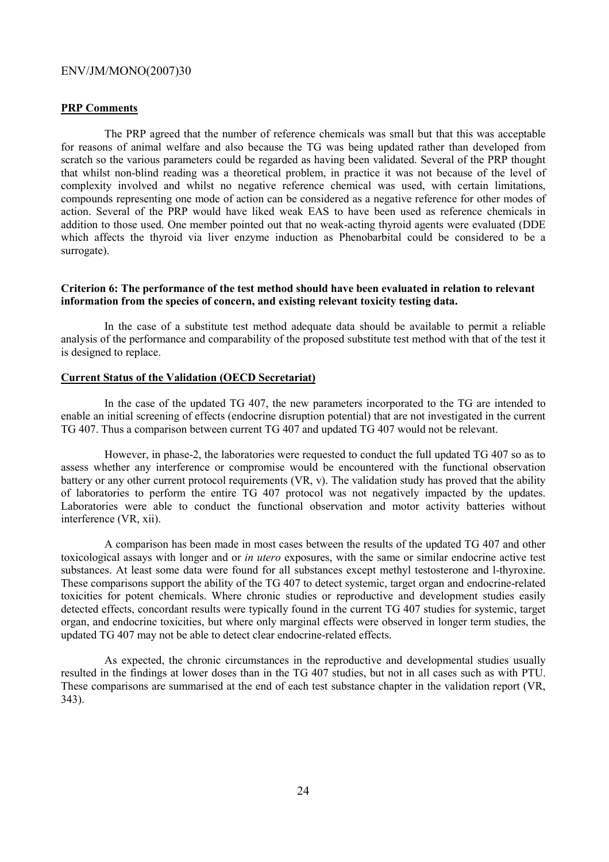#### **PRP Comments**

 The PRP agreed that the number of reference chemicals was small but that this was acceptable for reasons of animal welfare and also because the TG was being updated rather than developed from scratch so the various parameters could be regarded as having been validated. Several of the PRP thought that whilst non-blind reading was a theoretical problem, in practice it was not because of the level of complexity involved and whilst no negative reference chemical was used, with certain limitations, compounds representing one mode of action can be considered as a negative reference for other modes of action. Several of the PRP would have liked weak EAS to have been used as reference chemicals in addition to those used. One member pointed out that no weak-acting thyroid agents were evaluated (DDE which affects the thyroid via liver enzyme induction as Phenobarbital could be considered to be a surrogate).

#### **Criterion 6: The performance of the test method should have been evaluated in relation to relevant information from the species of concern, and existing relevant toxicity testing data.**

 In the case of a substitute test method adequate data should be available to permit a reliable analysis of the performance and comparability of the proposed substitute test method with that of the test it is designed to replace.

#### **Current Status of the Validation (OECD Secretariat)**

 In the case of the updated TG 407, the new parameters incorporated to the TG are intended to enable an initial screening of effects (endocrine disruption potential) that are not investigated in the current TG 407. Thus a comparison between current TG 407 and updated TG 407 would not be relevant.

 However, in phase-2, the laboratories were requested to conduct the full updated TG 407 so as to assess whether any interference or compromise would be encountered with the functional observation battery or any other current protocol requirements (VR, v). The validation study has proved that the ability of laboratories to perform the entire TG 407 protocol was not negatively impacted by the updates. Laboratories were able to conduct the functional observation and motor activity batteries without interference (VR, xii).

 A comparison has been made in most cases between the results of the updated TG 407 and other toxicological assays with longer and or *in utero* exposures, with the same or similar endocrine active test substances. At least some data were found for all substances except methyl testosterone and l-thyroxine. These comparisons support the ability of the TG 407 to detect systemic, target organ and endocrine-related toxicities for potent chemicals. Where chronic studies or reproductive and development studies easily detected effects, concordant results were typically found in the current TG 407 studies for systemic, target organ, and endocrine toxicities, but where only marginal effects were observed in longer term studies, the updated TG 407 may not be able to detect clear endocrine-related effects.

 As expected, the chronic circumstances in the reproductive and developmental studies usually resulted in the findings at lower doses than in the TG 407 studies, but not in all cases such as with PTU. These comparisons are summarised at the end of each test substance chapter in the validation report (VR, 343).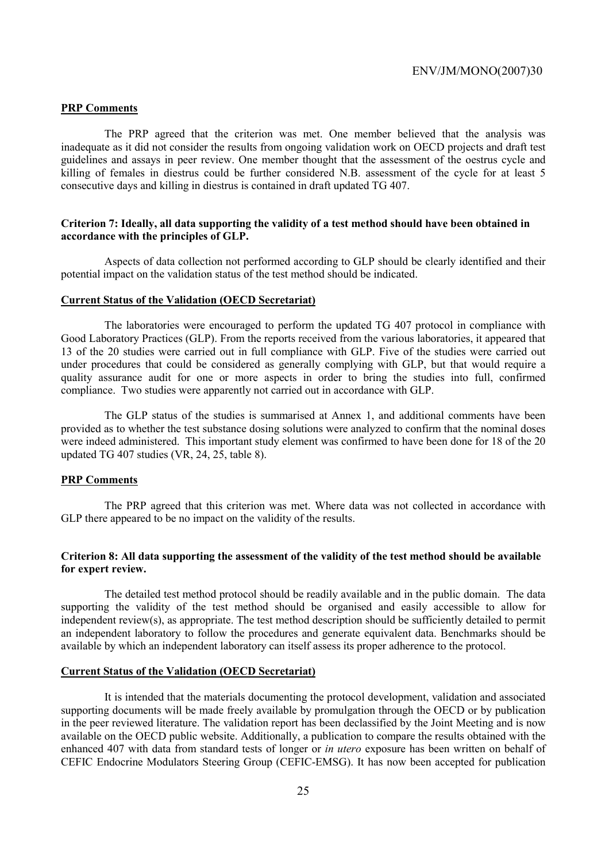#### **PRP Comments**

 The PRP agreed that the criterion was met. One member believed that the analysis was inadequate as it did not consider the results from ongoing validation work on OECD projects and draft test guidelines and assays in peer review. One member thought that the assessment of the oestrus cycle and killing of females in diestrus could be further considered N.B. assessment of the cycle for at least 5 consecutive days and killing in diestrus is contained in draft updated TG 407.

#### **Criterion 7: Ideally, all data supporting the validity of a test method should have been obtained in accordance with the principles of GLP.**

 Aspects of data collection not performed according to GLP should be clearly identified and their potential impact on the validation status of the test method should be indicated.

#### **Current Status of the Validation (OECD Secretariat)**

 The laboratories were encouraged to perform the updated TG 407 protocol in compliance with Good Laboratory Practices (GLP). From the reports received from the various laboratories, it appeared that 13 of the 20 studies were carried out in full compliance with GLP. Five of the studies were carried out under procedures that could be considered as generally complying with GLP, but that would require a quality assurance audit for one or more aspects in order to bring the studies into full, confirmed compliance. Two studies were apparently not carried out in accordance with GLP.

 The GLP status of the studies is summarised at Annex 1, and additional comments have been provided as to whether the test substance dosing solutions were analyzed to confirm that the nominal doses were indeed administered. This important study element was confirmed to have been done for 18 of the 20 updated TG 407 studies (VR, 24, 25, table 8).

#### **PRP Comments**

 The PRP agreed that this criterion was met. Where data was not collected in accordance with GLP there appeared to be no impact on the validity of the results.

#### **Criterion 8: All data supporting the assessment of the validity of the test method should be available for expert review.**

 The detailed test method protocol should be readily available and in the public domain. The data supporting the validity of the test method should be organised and easily accessible to allow for independent review(s), as appropriate. The test method description should be sufficiently detailed to permit an independent laboratory to follow the procedures and generate equivalent data. Benchmarks should be available by which an independent laboratory can itself assess its proper adherence to the protocol.

#### **Current Status of the Validation (OECD Secretariat)**

 It is intended that the materials documenting the protocol development, validation and associated supporting documents will be made freely available by promulgation through the OECD or by publication in the peer reviewed literature. The validation report has been declassified by the Joint Meeting and is now available on the OECD public website. Additionally, a publication to compare the results obtained with the enhanced 407 with data from standard tests of longer or *in utero* exposure has been written on behalf of CEFIC Endocrine Modulators Steering Group (CEFIC-EMSG). It has now been accepted for publication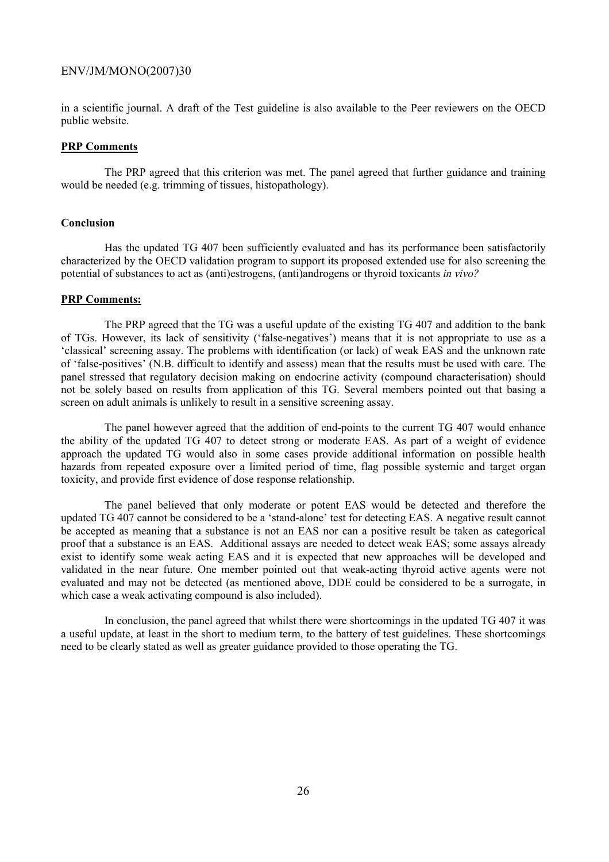in a scientific journal. A draft of the Test guideline is also available to the Peer reviewers on the OECD public website.

#### **PRP Comments**

 The PRP agreed that this criterion was met. The panel agreed that further guidance and training would be needed (e.g. trimming of tissues, histopathology).

#### **Conclusion**

 Has the updated TG 407 been sufficiently evaluated and has its performance been satisfactorily characterized by the OECD validation program to support its proposed extended use for also screening the potential of substances to act as (anti)estrogens, (anti)androgens or thyroid toxicants *in vivo?* 

#### **PRP Comments:**

 The PRP agreed that the TG was a useful update of the existing TG 407 and addition to the bank of TGs. However, its lack of sensitivity ('false-negatives') means that it is not appropriate to use as a 'classical' screening assay. The problems with identification (or lack) of weak EAS and the unknown rate of 'false-positives' (N.B. difficult to identify and assess) mean that the results must be used with care. The panel stressed that regulatory decision making on endocrine activity (compound characterisation) should not be solely based on results from application of this TG. Several members pointed out that basing a screen on adult animals is unlikely to result in a sensitive screening assay.

 The panel however agreed that the addition of end-points to the current TG 407 would enhance the ability of the updated TG 407 to detect strong or moderate EAS. As part of a weight of evidence approach the updated TG would also in some cases provide additional information on possible health hazards from repeated exposure over a limited period of time, flag possible systemic and target organ toxicity, and provide first evidence of dose response relationship.

 The panel believed that only moderate or potent EAS would be detected and therefore the updated TG 407 cannot be considered to be a 'stand-alone' test for detecting EAS. A negative result cannot be accepted as meaning that a substance is not an EAS nor can a positive result be taken as categorical proof that a substance is an EAS. Additional assays are needed to detect weak EAS; some assays already exist to identify some weak acting EAS and it is expected that new approaches will be developed and validated in the near future. One member pointed out that weak-acting thyroid active agents were not evaluated and may not be detected (as mentioned above, DDE could be considered to be a surrogate, in which case a weak activating compound is also included).

 In conclusion, the panel agreed that whilst there were shortcomings in the updated TG 407 it was a useful update, at least in the short to medium term, to the battery of test guidelines. These shortcomings need to be clearly stated as well as greater guidance provided to those operating the TG.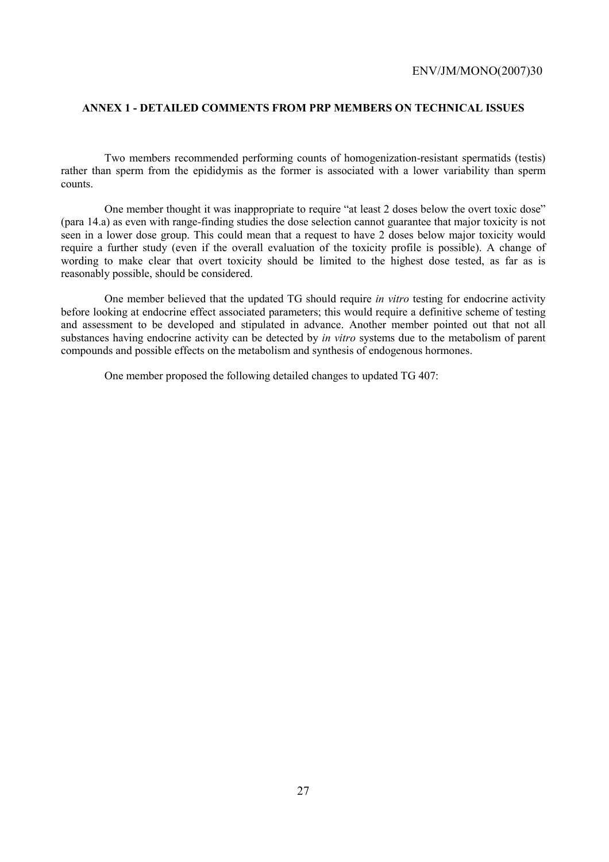#### **ANNEX 1 - DETAILED COMMENTS FROM PRP MEMBERS ON TECHNICAL ISSUES**

 Two members recommended performing counts of homogenization-resistant spermatids (testis) rather than sperm from the epididymis as the former is associated with a lower variability than sperm counts.

 One member thought it was inappropriate to require "at least 2 doses below the overt toxic dose" (para 14.a) as even with range-finding studies the dose selection cannot guarantee that major toxicity is not seen in a lower dose group. This could mean that a request to have 2 doses below major toxicity would require a further study (even if the overall evaluation of the toxicity profile is possible). A change of wording to make clear that overt toxicity should be limited to the highest dose tested, as far as is reasonably possible, should be considered.

 One member believed that the updated TG should require *in vitro* testing for endocrine activity before looking at endocrine effect associated parameters; this would require a definitive scheme of testing and assessment to be developed and stipulated in advance. Another member pointed out that not all substances having endocrine activity can be detected by *in vitro* systems due to the metabolism of parent compounds and possible effects on the metabolism and synthesis of endogenous hormones.

One member proposed the following detailed changes to updated TG 407: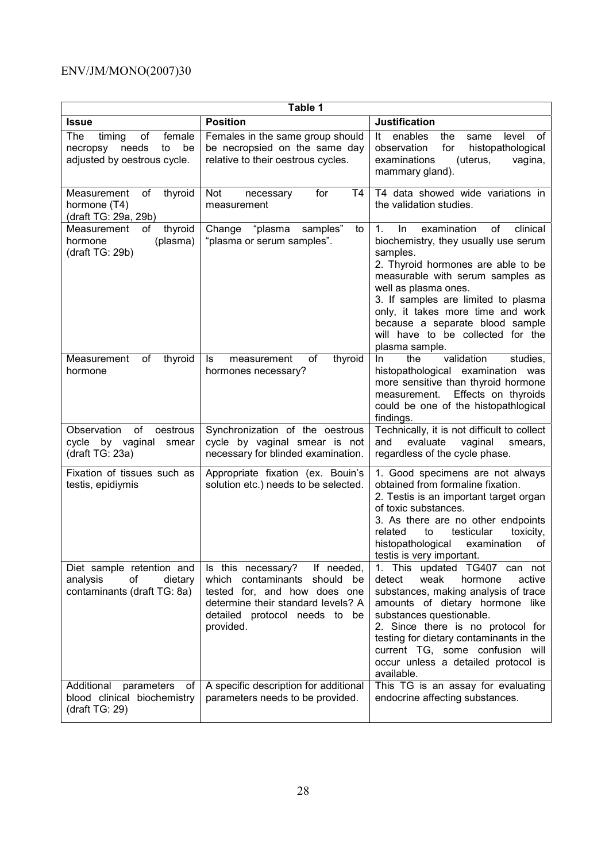| Table 1                                                                                              |                                                                                                                                                                                   |                                                                                                                                                                                                                                                                                                                                                                                    |  |  |  |  |
|------------------------------------------------------------------------------------------------------|-----------------------------------------------------------------------------------------------------------------------------------------------------------------------------------|------------------------------------------------------------------------------------------------------------------------------------------------------------------------------------------------------------------------------------------------------------------------------------------------------------------------------------------------------------------------------------|--|--|--|--|
| <b>Issue</b>                                                                                         | <b>Position</b>                                                                                                                                                                   | <b>Justification</b>                                                                                                                                                                                                                                                                                                                                                               |  |  |  |  |
| <b>The</b><br>female<br>timing<br>οf<br>be<br>needs<br>to<br>necropsy<br>adjusted by oestrous cycle. | Females in the same group should<br>be necropsied on the same day<br>relative to their oestrous cycles.                                                                           | enables<br>the<br>level<br>οf<br>It<br>same<br>for<br>histopathological<br>observation<br>examinations<br>(uterus,<br>vagina,<br>mammary gland).                                                                                                                                                                                                                                   |  |  |  |  |
| thyroid<br>Measurement<br>οf<br>hormone (T4)<br>(draft TG: 29a, 29b)                                 | Not<br>T4<br>for<br>necessary<br>measurement                                                                                                                                      | T4 data showed wide variations in<br>the validation studies.                                                                                                                                                                                                                                                                                                                       |  |  |  |  |
| thyroid<br>Measurement<br>οf<br>(plasma)<br>hormone<br>draff TG: 29b)                                | Change "plasma<br>samples"<br>to<br>"plasma or serum samples".                                                                                                                    | $\mathbf{1}$ .<br>In.<br>examination<br>of<br>clinical<br>biochemistry, they usually use serum<br>samples.<br>2. Thyroid hormones are able to be<br>measurable with serum samples as<br>well as plasma ones.<br>3. If samples are limited to plasma<br>only, it takes more time and work<br>because a separate blood sample<br>will have to be collected for the<br>plasma sample. |  |  |  |  |
| Measurement<br>of<br>thyroid<br>hormone                                                              | of<br>thyroid<br>measurement<br>ls.<br>hormones necessary?                                                                                                                        | validation<br>the<br>studies,<br>In.<br>histopathological examination was<br>more sensitive than thyroid hormone<br>Effects on thyroids<br>measurement.<br>could be one of the histopathlogical<br>findings.                                                                                                                                                                       |  |  |  |  |
| Observation<br>of<br>oestrous<br>cycle by vaginal<br>smear<br>(draft $TG: 23a$ )                     | Synchronization of the oestrous<br>cycle by vaginal smear is not<br>necessary for blinded examination.                                                                            | Technically, it is not difficult to collect<br>and<br>evaluate<br>vaginal<br>smears,<br>regardless of the cycle phase.                                                                                                                                                                                                                                                             |  |  |  |  |
| Fixation of tissues such as<br>testis, epidiymis                                                     | Appropriate fixation (ex. Bouin's<br>solution etc.) needs to be selected.                                                                                                         | 1. Good specimens are not always<br>obtained from formaline fixation.<br>2. Testis is an important target organ<br>of toxic substances.<br>3. As there are no other endpoints<br>testicular<br>toxicity,<br>related<br>to<br>histopathological<br>examination<br>of<br>testis is very important.                                                                                   |  |  |  |  |
| Diet sample retention and<br>analysis<br>οf<br>dietary<br>contaminants (draft TG: 8a)                | Is this necessary? If needed,<br>which contaminants should be<br>tested for, and how does one<br>determine their standard levels? A<br>detailed protocol needs to be<br>provided. | 1. This updated TG407 can not<br>weak<br>detect<br>hormone<br>active<br>substances, making analysis of trace<br>amounts of dietary hormone like<br>substances questionable.<br>2. Since there is no protocol for<br>testing for dietary contaminants in the<br>current TG, some confusion will<br>occur unless a detailed protocol is<br>available.                                |  |  |  |  |
| Additional<br>parameters<br>οf<br>blood clinical biochemistry<br>(draft $TG: 29$ )                   | A specific description for additional<br>parameters needs to be provided.                                                                                                         | This TG is an assay for evaluating<br>endocrine affecting substances.                                                                                                                                                                                                                                                                                                              |  |  |  |  |